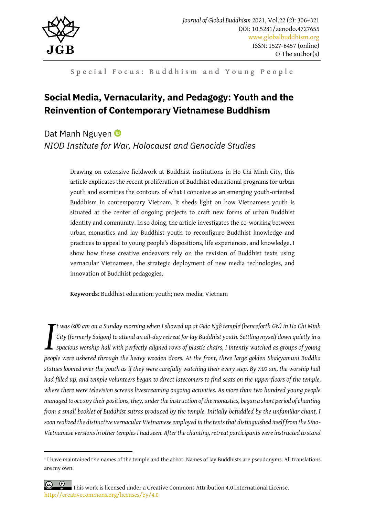

1

Special Focus: Buddhism and Young People

# **Social Media, Vernacularity, and Pedagogy: Youth and the Reinvention of Contemporary Vietnamese Buddhism**

# Dat Manh Nguyen <sup>®</sup> *NIOD Institute for War, Holocaust and Genocide Studies*

Drawing on extensive fieldwork at Buddhist institutions in Ho Chi Minh City, this article explicates the recent proliferation of Buddhist educational programs for urban youth and examines the contours of what I conceive as an emerging youth-oriented Buddhism in contemporary Vietnam. It sheds light on how Vietnamese youth is situated at the center of ongoing projects to craft new forms of urban Buddhist identity and community. In so doing, the article investigates the co-working between urban monastics and lay Buddhist youth to reconfigure Buddhist knowledge and practices to appeal to young people's dispositions, life experiences, and knowledge. I show how these creative endeavors rely on the revision of Buddhist texts using vernacular Vietnamese, the strategic deployment of new media technologies, and innovation of Buddhist pedagogies.

**Keywords:** Buddhist education; youth; new media; Vietnam

*t was 6:00 am on a Sunday morning when I showed up at Giác Ngộ temple<sup>1</sup> (henceforth GN) in Ho Chi Minh City (formerly Saigon) to attend an all-day retreat for lay Buddhist youth. Settling myself down quietly in a spacious worship hall with perfectly aligned rows of plastic chairs, I intently watched as groups of young people was 6:00 am on a Sunday morning when I showed up at Giác Ngộ temple<sup>1</sup>(henceforth GN) in Ho Chi Minh City (formerly Saigon) to attend an all-day retreat for lay Buddhist youth. Settling myself down quietly in a spa statues loomed over the youth as if they were carefully watching their every step. By 7:00 am, the worship hall had filled up, and temple volunteers began to direct latecomers to find seats on the upper floors of the temple, where there were television screens livestreaming ongoing activities. As more than two hundred young people managed to occupy their positions, they, under the instruction of the monastics, began a short period of chanting from a small booklet of Buddhist sutras produced by the temple. Initially befuddled by the unfamiliar chant, I soon realized the distinctive vernacular Vietnamese employed in the texts that distinguished itself from the Sino-Vietnamese versions in other temples I had seen. After the chanting, retreat participants were instructed to stand* 

<sup>&</sup>lt;sup>1</sup> I have maintained the names of the temple and the abbot. Names of lay Buddhists are pseudonyms. All translations are my own.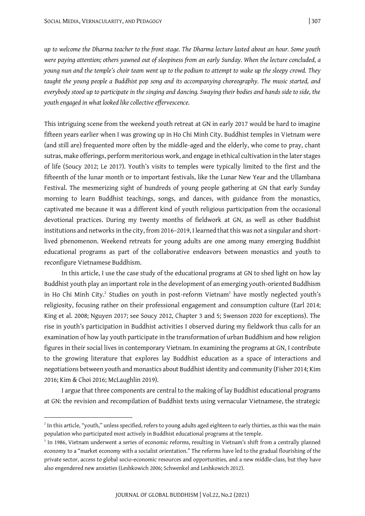*up to welcome the Dharma teacher to the front stage. The Dharma lecture lasted about an hour. Some youth were paying attention; others yawned out of sleepiness from an early Sunday. When the lecture concluded, a young nun and the temple's choir team went up to the podium to attempt to wake up the sleepy crowd. They taught the young people a Buddhist pop song and its accompanying choreography. The music started, and everybody stood up to participate in the singing and dancing. Swaying their bodies and hands side to side, the youth engaged in what looked like collective effervescence.* 

This intriguing scene from the weekend youth retreat at GN in early 2017 would be hard to imagine fifteen years earlier when I was growing up in Ho Chi Minh City. Buddhist temples in Vietnam were (and still are) frequented more often by the middle-aged and the elderly, who come to pray, chant sutras, make offerings, perform meritorious work, and engage in ethical cultivation in the later stages of life (Soucy 2012; Le 2017). Youth's visits to temples were typically limited to the first and the fifteenth of the lunar month or to important festivals, like the Lunar New Year and the Ullambana Festival. The mesmerizing sight of hundreds of young people gathering at GN that early Sunday morning to learn Buddhist teachings, songs, and dances, with guidance from the monastics, captivated me because it was a different kind of youth religious participation from the occasional devotional practices. During my twenty months of fieldwork at GN, as well as other Buddhist institutions and networks in the city, from 2016–2019, I learned that this was not a singular and shortlived phenomenon. Weekend retreats for young adults are one among many emerging Buddhist educational programs as part of the collaborative endeavors between monastics and youth to reconfigure Vietnamese Buddhism.

In this article, I use the case study of the educational programs at GN to shed light on how lay Buddhist youth play an important role in the development of an emerging youth-oriented Buddhism in Ho Chi Minh City.<sup>2</sup> Studies on youth in post-reform Vietnam<sup>3</sup> have mostly neglected youth's religiosity, focusing rather on their professional engagement and consumption culture (Earl 2014; King et al. 2008; Nguyen 2017; see Soucy 2012, Chapter 3 and 5; Swenson 2020 for exceptions). The rise in youth's participation in Buddhist activities I observed during my fieldwork thus calls for an examination of how lay youth participate in the transformation of urban Buddhism and how religion figures in their social lives in contemporary Vietnam. In examining the programs at GN, I contribute to the growing literature that explores lay Buddhist education as a space of interactions and negotiations between youth and monastics about Buddhist identity and community (Fisher 2014; Kim 2016; Kim & Choi 2016; McLaughlin 2019).

I argue that three components are central to the making of lay Buddhist educational programs at GN: the revision and recompilation of Buddhist texts using vernacular Vietnamese, the strategic

 $2^{2}$  In this article, "youth," unless specified, refers to young adults aged eighteen to early thirties, as this was the main population who participated most actively in Buddhist educational programs at the temple.

<sup>3</sup> In 1986, Vietnam underwent a series of economic reforms, resulting in Vietnam's shift from a centrally planned economy to a "market economy with a socialist orientation." The reforms have led to the gradual flourishing of the private sector, access to global socio-economic resources and opportunities, and a new middle-class, but they have also engendered new anxieties (Leshkowich 2006; Schwenkel and Leshkowich 2012).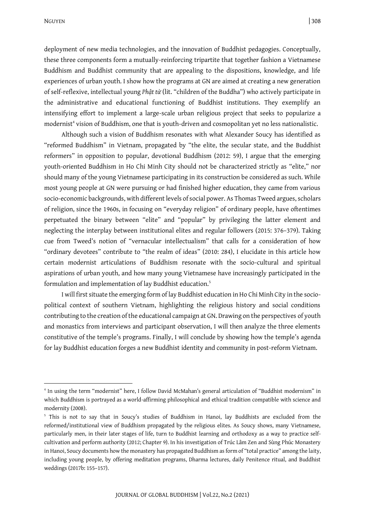NGUYEN | 308

**.** 

deployment of new media technologies, and the innovation of Buddhist pedagogies. Conceptually, these three components form a mutually-reinforcing tripartite that together fashion a Vietnamese Buddhism and Buddhist community that are appealing to the dispositions, knowledge, and life experiences of urban youth. I show how the programs at GN are aimed at creating a new generation of self-reflexive, intellectual young *Phật tử* (lit. "children of the Buddha") who actively participate in the administrative and educational functioning of Buddhist institutions. They exemplify an intensifying effort to implement a large-scale urban religious project that seeks to popularize a modernist<sup>4</sup> vision of Buddhism, one that is youth-driven and cosmopolitan yet no less nationalistic.

Although such a vision of Buddhism resonates with what Alexander Soucy has identified as "reformed Buddhism" in Vietnam, propagated by "the elite, the secular state, and the Buddhist reformers" in opposition to popular, devotional Buddhism (2012: 59), I argue that the emerging youth-oriented Buddhism in Ho Chi Minh City should not be characterized strictly as "elite," nor should many of the young Vietnamese participating in its construction be considered as such. While most young people at GN were pursuing or had finished higher education, they came from various socio-economic backgrounds, with different levels of social power. As Thomas Tweed argues, scholars of religion, since the 1960s, in focusing on "everyday religion" of ordinary people, have oftentimes perpetuated the binary between "elite" and "popular" by privileging the latter element and neglecting the interplay between institutional elites and regular followers (2015: 376–379). Taking cue from Tweed's notion of "vernacular intellectualism" that calls for a consideration of how "ordinary devotees" contribute to "the realm of ideas" (2010: 284), I elucidate in this article how certain modernist articulations of Buddhism resonate with the socio-cultural and spiritual aspirations of urban youth, and how many young Vietnamese have increasingly participated in the formulation and implementation of lay Buddhist education.<sup>5</sup>

I will first situate the emerging form of lay Buddhist education in Ho Chi Minh City in the sociopolitical context of southern Vietnam, highlighting the religious history and social conditions contributing to the creation of the educational campaign at GN. Drawing on the perspectives of youth and monastics from interviews and participant observation, I will then analyze the three elements constitutive of the temple's programs. Finally, I will conclude by showing how the temple's agenda for lay Buddhist education forges a new Buddhist identity and community in post-reform Vietnam.

<sup>4</sup> In using the term "modernist" here, I follow David McMahan's general articulation of "Buddhist modernism" in which Buddhism is portrayed as a world-affirming philosophical and ethical tradition compatible with science and modernity (2008).

<sup>&</sup>lt;sup>5</sup> This is not to say that in Soucy's studies of Buddhism in Hanoi, lay Buddhists are excluded from the reformed/institutional view of Buddhism propagated by the religious elites. As Soucy shows, many Vietnamese, particularly men, in their later stages of life, turn to Buddhist learning and orthodoxy as a way to practice selfcultivation and perform authority (2012; Chapter 9). In his investigation of Trúc Lâm Zen and Sùng Phúc Monastery in Hanoi, Soucy documents how the monastery has propagated Buddhism as form of "total practice" among the laity, including young people, by offering meditation programs, Dharma lectures, daily Penitence ritual, and Buddhist weddings (2017b: 155–157).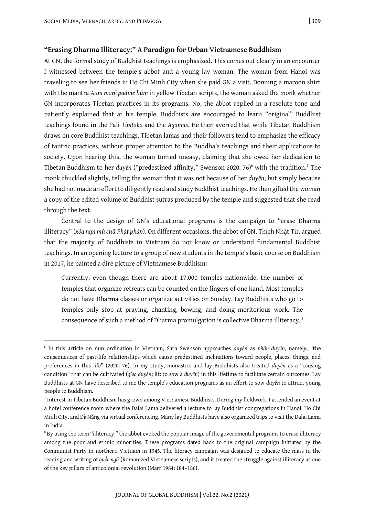$\overline{a}$ 

## **"Erasing Dharma Illiteracy:" A Paradigm for Urban Vietnamese Buddhism**

At GN, the formal study of Buddhist teachings is emphasized. This comes out clearly in an encounter I witnessed between the temple's abbot and a young lay woman. The woman from Hanoi was traveling to see her friends in Ho Chi Minh City when she paid GN a visit. Donning a maroon shirt with the mantra Aum mani padme hūm in yellow Tibetan scripts, the woman asked the monk whether GN incorporates Tibetan practices in its programs. No, the abbot replied in a resolute tone and patiently explained that at his temple, Buddhists are encouraged to learn "original" Buddhist teachings found in the Pali *Tipiṭaka* and the *Āgamas*. He then averred that while Tibetan Buddhism draws on core Buddhist teachings, Tibetan lamas and their followers tend to emphasize the efficacy of tantric practices, without proper attention to the Buddha's teachings and their applications to society. Upon hearing this, the woman turned uneasy, claiming that she owed her dedication to Tibetan Buddhism to her *duyên* ("predestined affinity," Swenson 2020: 76) <sup>6</sup> with the tradition.<sup>7</sup> The monk chuckled slightly, telling the woman that it was not because of her *duyên*, but simply because she had not made an effort to diligently read and study Buddhist teachings. He then gifted the woman a copy of the edited volume of Buddhist sutras produced by the temple and suggested that she read through the text.

Central to the design of GN's educational programs is the campaign to "erase Dharma illiteracy" (*xóa nạn mù chữ Phật pháp*). On different occasions, the abbot of GN, Thích Nhật Từ, argued that the majority of Buddhists in Vietnam do not know or understand fundamental Buddhist teachings. In an opening lecture to a group of new students in the temple's basic course on Buddhism in 2017, he painted a dire picture of Vietnamese Buddhism:

Currently, even though there are about 17,000 temples nationwide, the number of temples that organize retreats can be counted on the fingers of one hand. Most temples do not have Dharma classes or organize activities on Sunday. Lay Buddhists who go to temples only stop at praying, chanting, bowing, and doing meritorious work. The consequence of such a method of Dharma promulgation is collective Dharma illiteracy. <sup>8</sup>

<sup>6</sup> In this article on nun ordination in Vietnam, Sara Swenson approaches *duyên* as *nhân duyên*, namely, "the consequences of past-life relationships which cause predestined inclinations toward people, places, things, and preferences in this life" (2020: 76). In my study, monastics and lay Buddhists also treated *duyên* as a "causing condition" that can be cultivated (*gieo duyên*; lit: to sow a *duyên*) in this lifetime to facilitate certain outcomes. Lay Buddhists at GN have described to me the temple's education programs as an effort to sow *duyên* to attract young people to Buddhism.

<sup>7</sup> Interest in Tibetan Buddhism has grown among Vietnamese Buddhists. During my fieldwork, I attended an event at a hotel conference room where the Dalai Lama delivered a lecture to lay Buddhist congregations in Hanoi, Ho Chi Minh City, and Đà Nẵng via virtual conferencing. Many lay Buddhists have also organized trips to visit the Dalai Lama in India.

<sup>&</sup>lt;sup>8</sup> By using the term "illiteracy," the abbot evoked the popular image of the governmental programs to erase illiteracy among the poor and ethnic minorities. These programs dated back to the original campaign initiated by the Communist Party in northern Vietnam in 1945. The literacy campaign was designed to educate the mass in the reading and writing of *quốc ngữ* (Romanized Vietnamese scripts), and it treated the struggle against illiteracy as one of the key pillars of anticolonial revolution (Marr 1984: 184–186).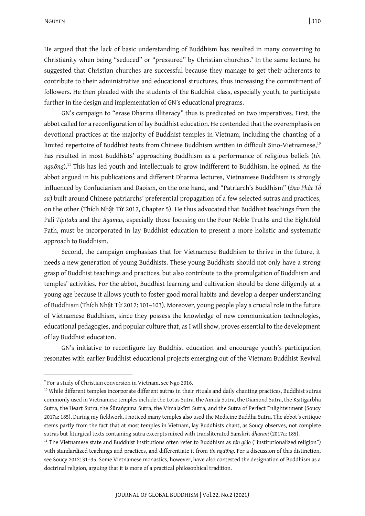NGUYEN 310

He argued that the lack of basic understanding of Buddhism has resulted in many converting to Christianity when being "seduced" or "pressured" by Christian churches.<sup>9</sup> In the same lecture, he suggested that Christian churches are successful because they manage to get their adherents to contribute to their administrative and educational structures, thus increasing the commitment of followers. He then pleaded with the students of the Buddhist class, especially youth, to participate further in the design and implementation of GN's educational programs.

GN's campaign to "erase Dharma illiteracy" thus is predicated on two imperatives. First, the abbot called for a reconfiguration of lay Buddhist education. He contended that the overemphasis on devotional practices at the majority of Buddhist temples in Vietnam, including the chanting of a limited repertoire of Buddhist texts from Chinese Buddhism written in difficult Sino-Vietnamese,<sup>10</sup> has resulted in most Buddhists' approaching Buddhism as a performance of religious beliefs (*tín ngưỡng*).<sup>11</sup> This has led youth and intellectuals to grow indifferent to Buddhism, he opined. As the abbot argued in his publications and different Dharma lectures, Vietnamese Buddhism is strongly influenced by Confucianism and Daoism, on the one hand, and "Patriarch's Buddhism" (*Đạo Phật Tổ sư*) built around Chinese patriarchs' preferential propagation of a few selected sutras and practices, on the other (Thích Nhật Từ 2017, Chapter 5). He thus advocated that Buddhist teachings from the Pali *Tipiṭaka* and the *Āgamas*, especially those focusing on the Four Noble Truths and the Eightfold Path, must be incorporated in lay Buddhist education to present a more holistic and systematic approach to Buddhism.

Second, the campaign emphasizes that for Vietnamese Buddhism to thrive in the future, it needs a new generation of young Buddhists. These young Buddhists should not only have a strong grasp of Buddhist teachings and practices, but also contribute to the promulgation of Buddhism and temples' activities. For the abbot, Buddhist learning and cultivation should be done diligently at a young age because it allows youth to foster good moral habits and develop a deeper understanding of Buddhism (Thích Nhật Từ 2017: 101–103). Moreover, young people play a crucial role in the future of Vietnamese Buddhism, since they possess the knowledge of new communication technologies, educational pedagogies, and popular culture that, as I will show, proves essential to the development of lay Buddhist education.

GN's initiative to reconfigure lay Buddhist education and encourage youth's participation resonates with earlier Buddhist educational projects emerging out of the Vietnam Buddhist Revival

**.** 

<sup>9</sup> For a study of Christian conversion in Vietnam, see Ngo 2016.

<sup>&</sup>lt;sup>10</sup> While different temples incorporate different sutras in their rituals and daily chanting practices, Buddhist sutras commonly used in Vietnamese temples include the Lotus Sutra, the Amida Sutra, the Diamond Sutra, the Kṣitigarbha Sutra, the Heart Sutra, the Śūraṅgama Sutra, the Vimalakīrti Sutra, and the Sutra of Perfect Enlightenment (Soucy 2017a: 185). During my fieldwork, I noticed many temples also used the Medicine Buddha Sutra. The abbot's critique stems partly from the fact that at most temples in Vietnam, lay Buddhists chant, as Soucy observes, not complete sutras but liturgical texts containing sutra excerpts mixed with transliterated Sanskrit *dharani* (2017a: 185).

<sup>&</sup>lt;sup>11</sup> The Vietnamese state and Buddhist institutions often refer to Buddhism as *tôn giáo* ("institutionalized religion") with standardized teachings and practices, and differentiate it from *tín ngưỡng*. For a discussion of this distinction, see Soucy 2012: 31–35. Some Vietnamese monastics, however, have also contested the designation of Buddhism as a doctrinal religion, arguing that it is more of a practical philosophical tradition.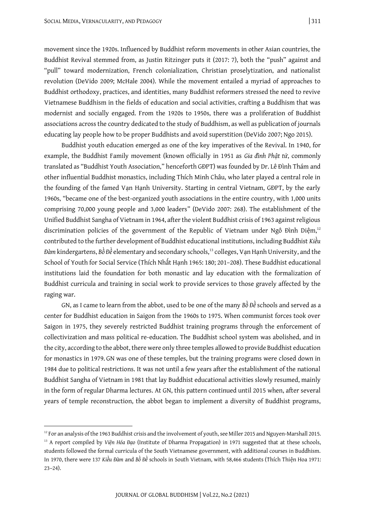movement since the 1920s. Influenced by Buddhist reform movements in other Asian countries, the Buddhist Revival stemmed from, as Justin Ritzinger puts it (2017: 7), both the "push" against and "pull" toward modernization, French colonialization, Christian proselytization, and nationalist revolution (DeVido 2009; McHale 2004). While the movement entailed a myriad of approaches to Buddhist orthodoxy, practices, and identities, many Buddhist reformers stressed the need to revive Vietnamese Buddhism in the fields of education and social activities, crafting a Buddhism that was modernist and socially engaged. From the 1920s to 1950s, there was a proliferation of Buddhist associations across the country dedicated to the study of Buddhism, as well as publication of journals educating lay people how to be proper Buddhists and avoid superstition (DeVido 2007; Ngo 2015).

Buddhist youth education emerged as one of the key imperatives of the Revival. In 1940, for example, the Buddhist Family movement (known officially in 1951 as *Gia đình Phật tử*, commonly translated as "Buddhist Youth Association," henceforth GĐPT) was founded by Dr. Lê Đình Thám and other influential Buddhist monastics, including Thích Minh Châu, who later played a central role in the founding of the famed Vạn Hạnh University. Starting in central Vietnam, GĐPT, by the early 1960s, "became one of the best-organized youth associations in the entire country, with 1,000 units comprising 70,000 young people and 3,000 leaders" (DeVido 2007: 268). The establishment of the Unified Buddhist Sangha of Vietnam in 1964, after the violent Buddhist crisis of 1963 against religious discrimination policies of the government of the Republic of Vietnam under Ngô Đình Diệm,<sup>12</sup> contributed to the further development of Buddhist educational institutions, including Buddhist *Kiều Đàm* kindergartens, *Bồ Đề* elementary and secondary schools,<sup>13</sup> colleges, Vạn Hạnh University, and the School of Youth for Social Service (Thích Nhất Hạnh 1965: 180; 201–208). These Buddhist educational institutions laid the foundation for both monastic and lay education with the formalization of Buddhist curricula and training in social work to provide services to those gravely affected by the raging war.

GN, as I came to learn from the abbot, used to be one of the many *Bồ Đề*schools and served as a center for Buddhist education in Saigon from the 1960s to 1975. When communist forces took over Saigon in 1975, they severely restricted Buddhist training programs through the enforcement of collectivization and mass political re-education. The Buddhist school system was abolished, and in the city, according to the abbot, there were only three temples allowed to provide Buddhist education for monastics in 1979. GN was one of these temples, but the training programs were closed down in 1984 due to political restrictions. It was not until a few years after the establishment of the national Buddhist Sangha of Vietnam in 1981 that lay Buddhist educational activities slowly resumed, mainly in the form of regular Dharma lectures. At GN, this pattern continued until 2015 when, after several years of temple reconstruction, the abbot began to implement a diversity of Buddhist programs,

 $12$  For an analysis of the 1963 Buddhist crisis and the involvement of youth, see Miller 2015 and Nguyen-Marshall 2015.

<sup>13</sup> A report compiled by *Viện Hóa Đạo* (Institute of Dharma Propagation) in 1971 suggested that at these schools, students followed the formal curricula of the South Vietnamese government, with additional courses in Buddhism. In 1970, there were 137 *Kiều Đàm* and *Bồ Đề* schools in South Vietnam, with 58,466 students (Thích Thiện Hoa 1971: 23–24).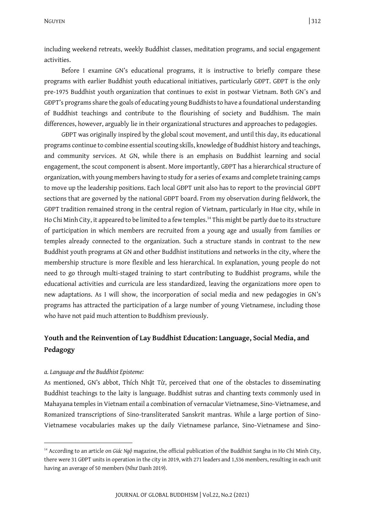NGUYEN 312

including weekend retreats, weekly Buddhist classes, meditation programs, and social engagement activities.

Before I examine GN's educational programs, it is instructive to briefly compare these programs with earlier Buddhist youth educational initiatives, particularly GĐPT. GĐPT is the only pre-1975 Buddhist youth organization that continues to exist in postwar Vietnam. Both GN's and GĐPT's programs share the goals of educating young Buddhists to have a foundational understanding of Buddhist teachings and contribute to the flourishing of society and Buddhism. The main differences, however, arguably lie in their organizational structures and approaches to pedagogies.

GĐPT was originally inspired by the global scout movement, and until this day, its educational programs continue to combine essential scouting skills, knowledge of Buddhist history and teachings, and community services. At GN, while there is an emphasis on Buddhist learning and social engagement, the scout component is absent. More importantly, GĐPT has a hierarchical structure of organization, with young members having to study for a series of exams and complete training camps to move up the leadership positions. Each local GĐPT unit also has to report to the provincial GĐPT sections that are governed by the national GĐPT board. From my observation during fieldwork, the GĐPT tradition remained strong in the central region of Vietnam, particularly in Hue city, while in Ho Chi Minh City, it appeared to be limited to a few temples.<sup>14</sup> This might be partly due to its structure of participation in which members are recruited from a young age and usually from families or temples already connected to the organization. Such a structure stands in contrast to the new Buddhist youth programs at GN and other Buddhist institutions and networks in the city, where the membership structure is more flexible and less hierarchical. In explanation, young people do not need to go through multi-staged training to start contributing to Buddhist programs, while the educational activities and curricula are less standardized, leaving the organizations more open to new adaptations. As I will show, the incorporation of social media and new pedagogies in GN's programs has attracted the participation of a large number of young Vietnamese, including those who have not paid much attention to Buddhism previously.

# **Youth and the Reinvention of Lay Buddhist Education: Language, Social Media, and Pedagogy**

### *a. Language and the Buddhist Episteme:*

**.** 

As mentioned, GN's abbot, Thích Nhật Từ, perceived that one of the obstacles to disseminating Buddhist teachings to the laity is language. Buddhist sutras and chanting texts commonly used in Mahayana temples in Vietnam entail a combination of vernacular Vietnamese, Sino-Vietnamese, and Romanized transcriptions of Sino-transliterated Sanskrit mantras. While a large portion of Sino-Vietnamese vocabularies makes up the daily Vietnamese parlance, Sino-Vietnamese and Sino-

<sup>&</sup>lt;sup>14</sup> According to an article on *Giác Ngộ* magazine, the official publication of the Buddhist Sangha in Ho Chi Minh City, there were 31 GĐPT units in operation in the city in 2019, with 271 leaders and 1,536 members, resulting in each unit having an average of 50 members (Như Danh 2019).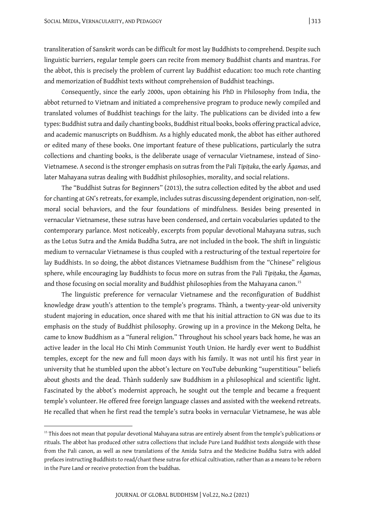transliteration of Sanskrit words can be difficult for most lay Buddhists to comprehend. Despite such linguistic barriers, regular temple goers can recite from memory Buddhist chants and mantras. For the abbot, this is precisely the problem of current lay Buddhist education: too much rote chanting and memorization of Buddhist texts without comprehension of Buddhist teachings.

Consequently, since the early 2000s, upon obtaining his PhD in Philosophy from India, the abbot returned to Vietnam and initiated a comprehensive program to produce newly compiled and translated volumes of Buddhist teachings for the laity. The publications can be divided into a few types: Buddhist sutra and daily chanting books, Buddhist ritual books, books offering practical advice, and academic manuscripts on Buddhism. As a highly educated monk, the abbot has either authored or edited many of these books. One important feature of these publications, particularly the sutra collections and chanting books, is the deliberate usage of vernacular Vietnamese, instead of Sino-Vietnamese. A second is the stronger emphasis on sutras from the Pali *Tipiṭaka*, the early *Āgamas*, and later Mahayana sutras dealing with Buddhist philosophies, morality, and social relations.

The "Buddhist Sutras for Beginners" (2013), the sutra collection edited by the abbot and used for chanting at GN's retreats, for example, includes sutras discussing dependent origination, non-self, moral social behaviors, and the four foundations of mindfulness. Besides being presented in vernacular Vietnamese, these sutras have been condensed, and certain vocabularies updated to the contemporary parlance. Most noticeably, excerpts from popular devotional Mahayana sutras, such as the Lotus Sutra and the Amida Buddha Sutra, are not included in the book. The shift in linguistic medium to vernacular Vietnamese is thus coupled with a restructuring of the textual repertoire for lay Buddhists. In so doing, the abbot distances Vietnamese Buddhism from the "Chinese" religious sphere, while encouraging lay Buddhists to focus more on sutras from the Pali *Tipiṭaka*, the *Āgamas*, and those focusing on social morality and Buddhist philosophies from the Mahayana canon. 15

The linguistic preference for vernacular Vietnamese and the reconfiguration of Buddhist knowledge draw youth's attention to the temple's programs. Thành, a twenty-year-old university student majoring in education, once shared with me that his initial attraction to GN was due to its emphasis on the study of Buddhist philosophy. Growing up in a province in the Mekong Delta, he came to know Buddhism as a "funeral religion." Throughout his school years back home, he was an active leader in the local Ho Chi Minh Communist Youth Union. He hardly ever went to Buddhist temples, except for the new and full moon days with his family. It was not until his first year in university that he stumbled upon the abbot's lecture on YouTube debunking "superstitious" beliefs about ghosts and the dead. Thành suddenly saw Buddhism in a philosophical and scientific light. Fascinated by the abbot's modernist approach, he sought out the temple and became a frequent temple's volunteer. He offered free foreign language classes and assisted with the weekend retreats. He recalled that when he first read the temple's sutra books in vernacular Vietnamese, he was able

<sup>&</sup>lt;sup>15</sup> This does not mean that popular devotional Mahayana sutras are entirely absent from the temple's publications or rituals. The abbot has produced other sutra collections that include Pure Land Buddhist texts alongside with those from the Pali canon, as well as new translations of the Amida Sutra and the Medicine Buddha Sutra with added prefaces instructing Buddhists to read/chant these sutras for ethical cultivation, rather than as a means to be reborn in the Pure Land or receive protection from the buddhas.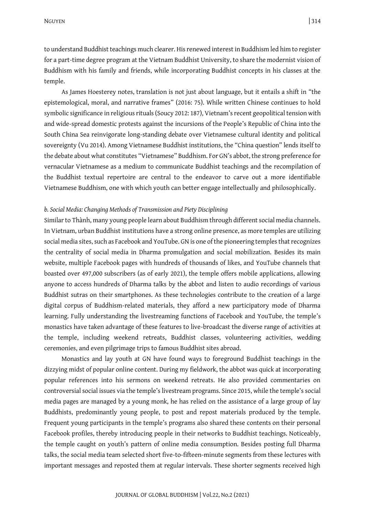NGUYEN 314

to understand Buddhist teachings much clearer. His renewed interest in Buddhism led him to register for a part-time degree program at the Vietnam Buddhist University, to share the modernist vision of Buddhism with his family and friends, while incorporating Buddhist concepts in his classes at the temple.

As James Hoesterey notes, translation is not just about language, but it entails a shift in "the epistemological, moral, and narrative frames" (2016: 75). While written Chinese continues to hold symbolic significance in religious rituals (Soucy 2012: 187), Vietnam's recent geopolitical tension with and wide-spread domestic protests against the incursions of the People's Republic of China into the South China Sea reinvigorate long-standing debate over Vietnamese cultural identity and political sovereignty (Vu 2014). Among Vietnamese Buddhist institutions, the "China question" lends itself to the debate about what constitutes "Vietnamese" Buddhism. For GN's abbot, the strong preference for vernacular Vietnamese as a medium to communicate Buddhist teachings and the recompilation of the Buddhist textual repertoire are central to the endeavor to carve out a more identifiable Vietnamese Buddhism, one with which youth can better engage intellectually and philosophically.

#### *b. Social Media: Changing Methods of Transmission and Piety Disciplining*

Similar to Thành, many young people learn about Buddhism through different social media channels. In Vietnam, urban Buddhist institutions have a strong online presence, as more temples are utilizing social media sites, such as Facebook and YouTube. GN is one of the pioneering temples that recognizes the centrality of social media in Dharma promulgation and social mobilization. Besides its main website, multiple Facebook pages with hundreds of thousands of likes, and YouTube channels that boasted over 497,000 subscribers (as of early 2021), the temple offers mobile applications, allowing anyone to access hundreds of Dharma talks by the abbot and listen to audio recordings of various Buddhist sutras on their smartphones. As these technologies contribute to the creation of a large digital corpus of Buddhism-related materials, they afford a new participatory mode of Dharma learning. Fully understanding the livestreaming functions of Facebook and YouTube, the temple's monastics have taken advantage of these features to live-broadcast the diverse range of activities at the temple, including weekend retreats, Buddhist classes, volunteering activities, wedding ceremonies, and even pilgrimage trips to famous Buddhist sites abroad.

Monastics and lay youth at GN have found ways to foreground Buddhist teachings in the dizzying midst of popular online content. During my fieldwork, the abbot was quick at incorporating popular references into his sermons on weekend retreats. He also provided commentaries on controversial social issues via the temple's livestream programs. Since 2015, while the temple's social media pages are managed by a young monk, he has relied on the assistance of a large group of lay Buddhists, predominantly young people, to post and repost materials produced by the temple. Frequent young participants in the temple's programs also shared these contents on their personal Facebook profiles, thereby introducing people in their networks to Buddhist teachings. Noticeably, the temple caught on youth's pattern of online media consumption. Besides posting full Dharma talks, the social media team selected short five-to-fifteen-minute segments from these lectures with important messages and reposted them at regular intervals. These shorter segments received high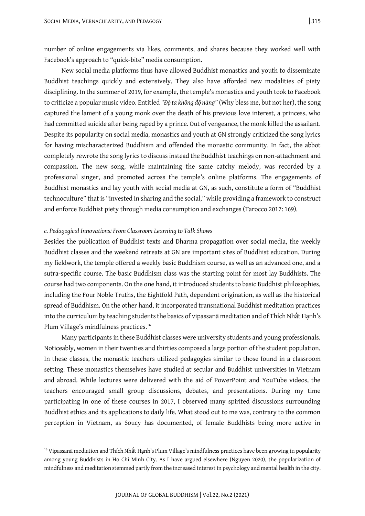number of online engagements via likes, comments, and shares because they worked well with Facebook's approach to "quick-bite" media consumption.

New social media platforms thus have allowed Buddhist monastics and youth to disseminate Buddhist teachings quickly and extensively. They also have afforded new modalities of piety disciplining. In the summer of 2019, for example, the temple's monastics and youth took to Facebook to criticize a popular music video. Entitled *"Độ ta không độ nàng"* (Why bless me, but not her), the song captured the lament of a young monk over the death of his previous love interest, a princess, who had committed suicide after being raped by a prince. Out of vengeance, the monk killed the assailant. Despite its popularity on social media, monastics and youth at GN strongly criticized the song lyrics for having mischaracterized Buddhism and offended the monastic community. In fact, the abbot completely rewrote the song lyrics to discuss instead the Buddhist teachings on non-attachment and compassion. The new song, while maintaining the same catchy melody, was recorded by a professional singer, and promoted across the temple's online platforms. The engagements of Buddhist monastics and lay youth with social media at GN, as such, constitute a form of "Buddhist technoculture" that is "invested in sharing and the social," while providing a framework to construct and enforce Buddhist piety through media consumption and exchanges (Tarocco 2017: 169).

### *c. Pedagogical Innovations: From Classroom Learning to Talk Shows*

**.** 

Besides the publication of Buddhist texts and Dharma propagation over social media, the weekly Buddhist classes and the weekend retreats at GN are important sites of Buddhist education. During my fieldwork, the temple offered a weekly basic Buddhism course, as well as an advanced one, and a sutra-specific course. The basic Buddhism class was the starting point for most lay Buddhists. The course had two components. On the one hand, it introduced students to basic Buddhist philosophies, including the Four Noble Truths, the Eightfold Path, dependent origination, as well as the historical spread of Buddhism. On the other hand, it incorporated transnational Buddhist meditation practices into the curriculum by teaching students the basics of vipassanā meditation and of Thích Nhất Hạnh's Plum Village's mindfulness practices.<sup>16</sup>

Many participants in these Buddhist classes were university students and young professionals. Noticeably, women in their twenties and thirties composed a large portion of the student population. In these classes, the monastic teachers utilized pedagogies similar to those found in a classroom setting. These monastics themselves have studied at secular and Buddhist universities in Vietnam and abroad. While lectures were delivered with the aid of PowerPoint and YouTube videos, the teachers encouraged small group discussions, debates, and presentations. During my time participating in one of these courses in 2017, I observed many spirited discussions surrounding Buddhist ethics and its applications to daily life. What stood out to me was, contrary to the common perception in Vietnam, as Soucy has documented, of female Buddhists being more active in

<sup>&</sup>lt;sup>16</sup> Vipassanā mediation and Thích Nhất Hạnh's Plum Village's mindfulness practices have been growing in popularity among young Buddhists in Ho Chi Minh City. As I have argued elsewhere (Nguyen 2020), the popularization of mindfulness and meditation stemmed partly from the increased interest in psychology and mental health in the city.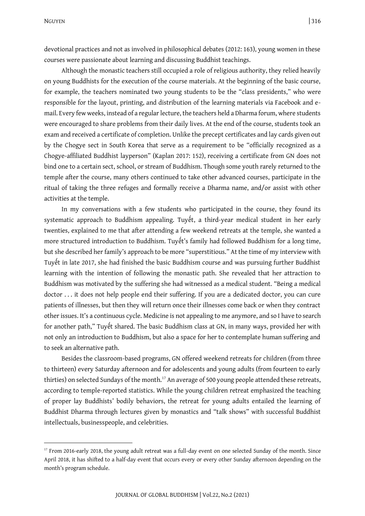devotional practices and not as involved in philosophical debates (2012: 163), young women in these courses were passionate about learning and discussing Buddhist teachings.

Although the monastic teachers still occupied a role of religious authority, they relied heavily on young Buddhists for the execution of the course materials. At the beginning of the basic course, for example, the teachers nominated two young students to be the "class presidents," who were responsible for the layout, printing, and distribution of the learning materials via Facebook and email. Every few weeks, instead of a regular lecture, the teachers held a Dharma forum, where students were encouraged to share problems from their daily lives. At the end of the course, students took an exam and received a certificate of completion. Unlike the precept certificates and lay cards given out by the Chogye sect in South Korea that serve as a requirement to be "officially recognized as a Chogye-affiliated Buddhist layperson" (Kaplan 2017: 152), receiving a certificate from GN does not bind one to a certain sect, school, or stream of Buddhism. Though some youth rarely returned to the temple after the course, many others continued to take other advanced courses, participate in the ritual of taking the three refuges and formally receive a Dharma name, and/or assist with other activities at the temple.

In my conversations with a few students who participated in the course, they found its systematic approach to Buddhism appealing. Tuyết, a third-year medical student in her early twenties, explained to me that after attending a few weekend retreats at the temple, she wanted a more structured introduction to Buddhism. Tuyết's family had followed Buddhism for a long time, but she described her family's approach to be more "superstitious." At the time of my interview with Tuyết in late 2017, she had finished the basic Buddhism course and was pursuing further Buddhist learning with the intention of following the monastic path. She revealed that her attraction to Buddhism was motivated by the suffering she had witnessed as a medical student. "Being a medical doctor . . . it does not help people end their suffering. If you are a dedicated doctor, you can cure patients of illnesses, but then they will return once their illnesses come back or when they contract other issues. It's a continuous cycle. Medicine is not appealing to me anymore, and so I have to search for another path," Tuyết shared. The basic Buddhism class at GN, in many ways, provided her with not only an introduction to Buddhism, but also a space for her to contemplate human suffering and to seek an alternative path.

Besides the classroom-based programs, GN offered weekend retreats for children (from three to thirteen) every Saturday afternoon and for adolescents and young adults (from fourteen to early thirties) on selected Sundays of the month.<sup>17</sup> An average of 500 young people attended these retreats, according to temple-reported statistics. While the young children retreat emphasized the teaching of proper lay Buddhists' bodily behaviors, the retreat for young adults entailed the learning of Buddhist Dharma through lectures given by monastics and "talk shows" with successful Buddhist intellectuals, businesspeople, and celebrities.

<sup>&</sup>lt;sup>17</sup> From 2016-early 2018, the young adult retreat was a full-day event on one selected Sunday of the month. Since April 2018, it has shifted to a half-day event that occurs every or every other Sunday afternoon depending on the month's program schedule.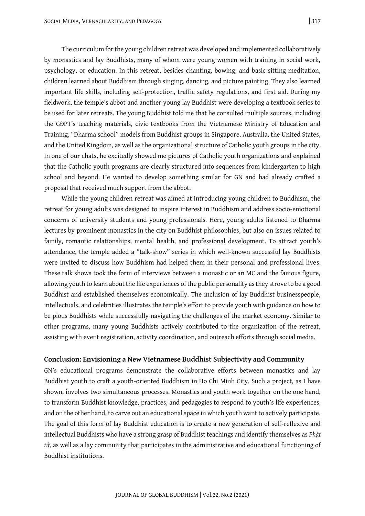The curriculum for the young children retreat was developed and implemented collaboratively by monastics and lay Buddhists, many of whom were young women with training in social work, psychology, or education. In this retreat, besides chanting, bowing, and basic sitting meditation, children learned about Buddhism through singing, dancing, and picture painting. They also learned important life skills, including self-protection, traffic safety regulations, and first aid. During my fieldwork, the temple's abbot and another young lay Buddhist were developing a textbook series to be used for later retreats. The young Buddhist told me that he consulted multiple sources, including the GĐPT's teaching materials, civic textbooks from the Vietnamese Ministry of Education and Training, "Dharma school" models from Buddhist groups in Singapore, Australia, the United States, and the United Kingdom, as well as the organizational structure of Catholic youth groups in the city. In one of our chats, he excitedly showed me pictures of Catholic youth organizations and explained that the Catholic youth programs are clearly structured into sequences from kindergarten to high school and beyond. He wanted to develop something similar for GN and had already crafted a proposal that received much support from the abbot.

While the young children retreat was aimed at introducing young children to Buddhism, the retreat for young adults was designed to inspire interest in Buddhism and address socio-emotional concerns of university students and young professionals. Here, young adults listened to Dharma lectures by prominent monastics in the city on Buddhist philosophies, but also on issues related to family, romantic relationships, mental health, and professional development. To attract youth's attendance, the temple added a "talk-show" series in which well-known successful lay Buddhists were invited to discuss how Buddhism had helped them in their personal and professional lives. These talk shows took the form of interviews between a monastic or an MC and the famous figure, allowing youth to learn about the life experiences of the public personality as they strove to be a good Buddhist and established themselves economically. The inclusion of lay Buddhist businesspeople, intellectuals, and celebrities illustrates the temple's effort to provide youth with guidance on how to be pious Buddhists while successfully navigating the challenges of the market economy. Similar to other programs, many young Buddhists actively contributed to the organization of the retreat, assisting with event registration, activity coordination, and outreach efforts through social media.

#### **Conclusion: Envisioning a New Vietnamese Buddhist Subjectivity and Community**

GN's educational programs demonstrate the collaborative efforts between monastics and lay Buddhist youth to craft a youth-oriented Buddhism in Ho Chi Minh City. Such a project, as I have shown, involves two simultaneous processes. Monastics and youth work together on the one hand, to transform Buddhist knowledge, practices, and pedagogies to respond to youth's life experiences, and on the other hand, to carve out an educational space in which youth want to actively participate. The goal of this form of lay Buddhist education is to create a new generation of self-reflexive and intellectual Buddhists who have a strong grasp of Buddhist teachings and identify themselves as *Phật tử*, as well as a lay community that participates in the administrative and educational functioning of Buddhist institutions.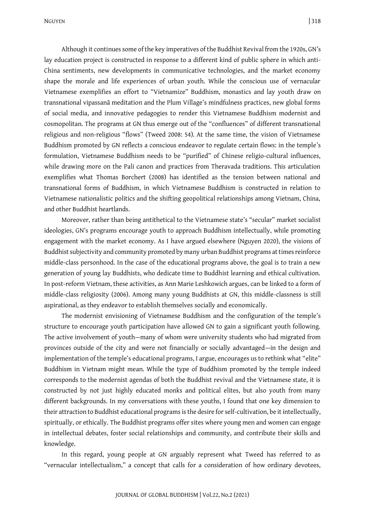Although it continues some of the key imperatives of the Buddhist Revival from the 1920s, GN's lay education project is constructed in response to a different kind of public sphere in which anti-China sentiments, new developments in communicative technologies, and the market economy shape the morale and life experiences of urban youth. While the conscious use of vernacular Vietnamese exemplifies an effort to "Vietnamize" Buddhism, monastics and lay youth draw on transnational vipassanā meditation and the Plum Village's mindfulness practices, new global forms of social media, and innovative pedagogies to render this Vietnamese Buddhism modernist and cosmopolitan. The programs at GN thus emerge out of the "confluences" of different transnational religious and non-religious "flows" (Tweed 2008: 54). At the same time, the vision of Vietnamese Buddhism promoted by GN reflects a conscious endeavor to regulate certain flows: in the temple's formulation, Vietnamese Buddhism needs to be "purified" of Chinese religio-cultural influences, while drawing more on the Pali canon and practices from Theravada traditions. This articulation exemplifies what Thomas Borchert (2008) has identified as the tension between national and transnational forms of Buddhism, in which Vietnamese Buddhism is constructed in relation to Vietnamese nationalistic politics and the shifting geopolitical relationships among Vietnam, China, and other Buddhist heartlands.

Moreover, rather than being antithetical to the Vietnamese state's "secular" market socialist ideologies, GN's programs encourage youth to approach Buddhism intellectually, while promoting engagement with the market economy. As I have argued elsewhere (Nguyen 2020), the visions of Buddhist subjectivity and community promoted by many urban Buddhist programs at times reinforce middle-class personhood. In the case of the educational programs above, the goal is to train a new generation of young lay Buddhists, who dedicate time to Buddhist learning and ethical cultivation. In post-reform Vietnam, these activities, as Ann Marie Leshkowich argues, can be linked to a form of middle-class religiosity (2006). Among many young Buddhists at GN, this middle-classness is still aspirational, as they endeavor to establish themselves socially and economically.

The modernist envisioning of Vietnamese Buddhism and the configuration of the temple's structure to encourage youth participation have allowed GN to gain a significant youth following. The active involvement of youth—many of whom were university students who had migrated from provinces outside of the city and were not financially or socially advantaged—in the design and implementation of the temple's educational programs, I argue, encourages us to rethink what "elite" Buddhism in Vietnam might mean. While the type of Buddhism promoted by the temple indeed corresponds to the modernist agendas of both the Buddhist revival and the Vietnamese state, it is constructed by not just highly educated monks and political elites, but also youth from many different backgrounds. In my conversations with these youths, I found that one key dimension to their attraction to Buddhist educational programs is the desire for self-cultivation, be it intellectually, spiritually, or ethically. The Buddhist programs offer sites where young men and women can engage in intellectual debates, foster social relationships and community, and contribute their skills and knowledge.

In this regard, young people at GN arguably represent what Tweed has referred to as "vernacular intellectualism," a concept that calls for a consideration of how ordinary devotees,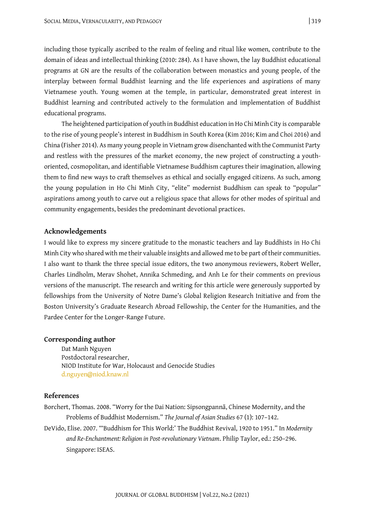including those typically ascribed to the realm of feeling and ritual like women, contribute to the domain of ideas and intellectual thinking (2010: 284). As I have shown, the lay Buddhist educational programs at GN are the results of the collaboration between monastics and young people, of the interplay between formal Buddhist learning and the life experiences and aspirations of many Vietnamese youth. Young women at the temple, in particular, demonstrated great interest in Buddhist learning and contributed actively to the formulation and implementation of Buddhist educational programs.

The heightened participation of youth in Buddhist education in Ho Chi Minh City is comparable to the rise of young people's interest in Buddhism in South Korea (Kim 2016; Kim and Choi 2016) and China (Fisher 2014). As many young people in Vietnam grow disenchanted with the Communist Party and restless with the pressures of the market economy, the new project of constructing a youthoriented, cosmopolitan, and identifiable Vietnamese Buddhism captures their imagination, allowing them to find new ways to craft themselves as ethical and socially engaged citizens. As such, among the young population in Ho Chi Minh City, "elite" modernist Buddhism can speak to "popular" aspirations among youth to carve out a religious space that allows for other modes of spiritual and community engagements, besides the predominant devotional practices.

#### **Acknowledgements**

I would like to express my sincere gratitude to the monastic teachers and lay Buddhists in Ho Chi Minh City who shared with me their valuable insights and allowed me to be part of their communities. I also want to thank the three special issue editors, the two anonymous reviewers, Robert Weller, Charles Lindholm, Merav Shohet, Annika Schmeding, and Anh Le for their comments on previous versions of the manuscript. The research and writing for this article were generously supported by fellowships from the University of Notre Dame's Global Religion Research Initiative and from the Boston University's Graduate Research Abroad Fellowship, the Center for the Humanities, and the Pardee Center for the Longer-Range Future.

#### **Corresponding author**

Dat Manh Nguyen Postdoctoral researcher, NIOD Institute for War, Holocaust and Genocide Studies [d.nguyen@niod.knaw.nl](mailto:d.nguyen@niod.knaw.nl)

### **References**

- Borchert, Thomas. 2008. "Worry for the Dai Nation: Sipsongpannā, Chinese Modernity, and the Problems of Buddhist Modernism." *The Journal of Asian Studies* 67 (1): 107–142.
- DeVido, Elise. 2007. "'Buddhism for This World:' The Buddhist Revival, 1920 to 1951." In *Modernity and Re-Enchantment: Religion in Post-revolutionary Vietnam*. Philip Taylor, ed.: 250–296. Singapore: ISEAS.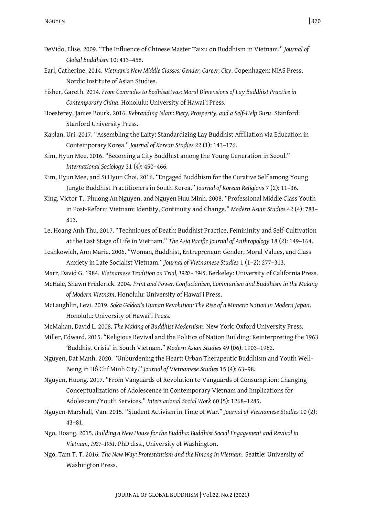- DeVido, Elise. 2009. "The Influence of Chinese Master Taixu on Buddhism in Vietnam." *Journal of Global Buddhism* 10: 413–458.
- Earl, Catherine. 2014. *Vietnam's New Middle Classes: Gender, Career, City*. Copenhagen: NIAS Press, Nordic Institute of Asian Studies.
- Fisher, Gareth. 2014. *From Comrades to Bodhisattvas: Moral Dimensions of Lay Buddhist Practice in Contemporary China*. Honolulu: University of Hawaiʻi Press.
- Hoesterey, James Bourk. 2016. *Rebranding Islam: Piety, Prosperity, and a Self-Help Guru*. Stanford: Stanford University Press.
- Kaplan, Uri. 2017. "Assembling the Laity: Standardizing Lay Buddhist Affiliation via Education in Contemporary Korea." *Journal of Korean Studies* 22 (1): 143–176.
- Kim, Hyun Mee. 2016. "Becoming a City Buddhist among the Young Generation in Seoul." *International Sociology* 31 (4): 450–466.
- Kim, Hyun Mee, and Si Hyun Choi. 2016. "Engaged Buddhism for the Curative Self among Young Jungto Buddhist Practitioners in South Korea." *Journal of Korean Religions* 7 (2): 11–36.
- King, Victor T., Phuong An Nguyen, and Nguyen Huu Minh. 2008. "Professional Middle Class Youth in Post-Reform Vietnam: Identity, Continuity and Change." *Modern Asian Studies* 42 (4): 783– 813.
- Le, Hoang Anh Thu. 2017. "Techniques of Death: Buddhist Practice, Femininity and Self-Cultivation at the Last Stage of Life in Vietnam." *The Asia Pacific Journal of Anthropology* 18 (2): 149–164.
- Leshkowich, Ann Marie. 2006. "Woman, Buddhist, Entrepreneur: Gender, Moral Values, and Class Anxiety in Late Socialist Vietnam." *Journal of Vietnamese Studies* 1 (1–2): 277–313.
- Marr, David G. 1984. *Vietnamese Tradition on Trial, 1920 - 1945*. Berkeley: University of California Press. McHale, Shawn Frederick. 2004. *Print and Power: Confucianism, Communism and Buddhism in the Making of Modern Vietnam*. Honolulu: University of Hawai'i Press.
- McLaughlin, Levi. 2019. *Soka Gakkai's Human Revolution: The Rise of a Mimetic Nation in Modern Japan*. Honolulu: University of Hawaiʻi Press.
- McMahan, David L. 2008. *The Making of Buddhist Modernism*. New York: Oxford University Press.
- Miller, Edward. 2015. "Religious Revival and the Politics of Nation Building: Reinterpreting the 1963 'Buddhist Crisis' in South Vietnam." *Modern Asian Studies* 49 (06): 1903–1962.
- Nguyen, Dat Manh. 2020. "Unburdening the Heart: Urban Therapeutic Buddhism and Youth Well-Being in Hồ Chí Minh City." *Journal of Vietnamese Studies* 15 (4): 63–98.
- Nguyen, Huong. 2017. "From Vanguards of Revolution to Vanguards of Consumption: Changing Conceptualizations of Adolescence in Contemporary Vietnam and Implications for Adolescent/Youth Services." *International Social Work* 60 (5): 1268–1285.
- Nguyen-Marshall, Van. 2015. "Student Activism in Time of War." *Journal of Vietnamese Studies* 10 (2): 43–81.
- Ngo, Hoang. 2015. *Building a New House for the Buddha: Buddhist Social Engagement and Revival in Vietnam, 1927–1951*. PhD diss., University of Washington.
- Ngo, Tam T. T. 2016. *The New Way: Protestantism and the Hmong in Vietnam*. Seattle: University of Washington Press.